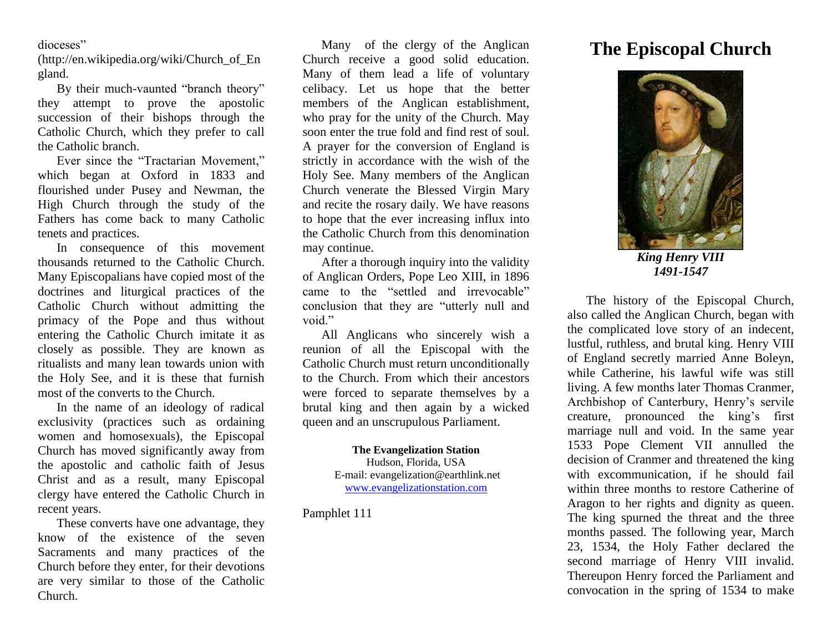## dioceses"

(http://en.wikipedia.org/wiki/Church\_of\_En gland.

By their much-vaunted "branch theory" they attempt to prove the apostolic succession of their bishops through the Catholic Church, which they prefer to call the Catholic branch.

Ever since the "Tractarian Movement," which began at Oxford in 1833 and flourished under Pusey and Newman, the High Church through the study of the Fathers has come back to many Catholic tenets and practices.

In consequence of this movement thousands returned to the Catholic Church. Many Episcopalians have copied most of the doctrines and liturgical practices of the Catholic Church without admitting the primacy of the Pope and thus without entering the Catholic Church imitate it as closely as possible. They are known as ritualists and many lean towards union with the Holy See, and it is these that furnish most of the converts to the Church.

In the name of an ideology of radical exclusivity (practices such as ordaining women and homosexuals), the Episcopal Church has moved significantly away from the apostolic and catholic faith of Jesus Christ and as a result, many Episcopal clergy have entered the Catholic Church in recent years.

These converts have one advantage, they know of the existence of the seven Sacraments and many practices of the Church before they enter, for their devotions are very similar to those of the Catholic Church.

Many of the clergy of the Anglican Church receive a good solid education. Many of them lead a life of voluntary celibacy. Let us hope that the better members of the Anglican establishment, who pray for the unity of the Church. May soon enter the true fold and find rest of soul. A prayer for the conversion of England is strictly in accordance with the wish of the Holy See. Many members of the Anglican Church venerate the Blessed Virgin Mary and recite the rosary daily. We have reasons to hope that the ever increasing influx into the Catholic Church from this denomination may continue.

After a thorough inquiry into the validity of Anglican Orders, Pope Leo XIII, in 1896 came to the "settled and irrevocable" conclusion that they are "utterly null and void."

All Anglicans who sincerely wish a reunion of all the Episcopal with the Catholic Church must return unconditionally to the Church. From which their ancestors were forced to separate themselves by a brutal king and then again by a wicked queen and an unscrupulous Parliament.

> **The Evangelization Station** Hudson, Florida, USA E-mail: evangelization@earthlink.net [www.evangelizationstation.com](http://www.pjpiisoe.org/)

Pamphlet 111

## **The Episcopal Church**



*King Henry VIII 1491-1547*

The history of the Episcopal Church, also called the Anglican Church, began with the complicated love story of an indecent, lustful, ruthless, and brutal king. Henry VIII of England secretly married Anne Boleyn, while Catherine, his lawful wife was still living. A few months later Thomas Cranmer, Archbishop of Canterbury, Henry's servile creature, pronounced the king's first marriage null and void. In the same year 1533 Pope Clement VII annulled the decision of Cranmer and threatened the king with excommunication, if he should fail within three months to restore Catherine of Aragon to her rights and dignity as queen. The king spurned the threat and the three months passed. The following year, March 23, 1534, the Holy Father declared the second marriage of Henry VIII invalid. Thereupon Henry forced the Parliament and convocation in the spring of 1534 to make